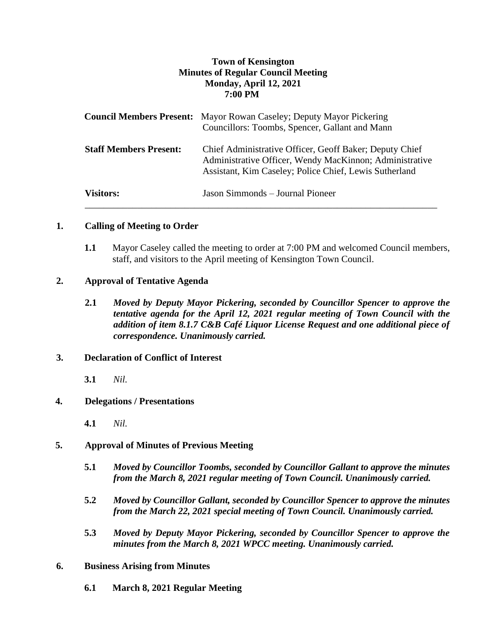# **Town of Kensington Minutes of Regular Council Meeting Monday, April 12, 2021 7:00 PM**

|                               | <b>Council Members Present:</b> Mayor Rowan Caseley; Deputy Mayor Pickering<br>Councillors: Toombs, Spencer, Gallant and Mann                                                |
|-------------------------------|------------------------------------------------------------------------------------------------------------------------------------------------------------------------------|
| <b>Staff Members Present:</b> | Chief Administrative Officer, Geoff Baker; Deputy Chief<br>Administrative Officer, Wendy MacKinnon; Administrative<br>Assistant, Kim Caseley; Police Chief, Lewis Sutherland |
| <b>Visitors:</b>              | Jason Simmonds – Journal Pioneer                                                                                                                                             |

## **1. Calling of Meeting to Order**

**1.1** Mayor Caseley called the meeting to order at 7:00 PM and welcomed Council members, staff, and visitors to the April meeting of Kensington Town Council.

### **2. Approval of Tentative Agenda**

**2.1** *Moved by Deputy Mayor Pickering, seconded by Councillor Spencer to approve the tentative agenda for the April 12, 2021 regular meeting of Town Council with the addition of item 8.1.7 C&B Café Liquor License Request and one additional piece of correspondence. Unanimously carried.*

# **3. Declaration of Conflict of Interest**

**3.1** *Nil.*

### **4. Delegations / Presentations**

**4.1** *Nil.*

# **5. Approval of Minutes of Previous Meeting**

- **5.1** *Moved by Councillor Toombs, seconded by Councillor Gallant to approve the minutes from the March 8, 2021 regular meeting of Town Council. Unanimously carried.*
- **5.2** *Moved by Councillor Gallant, seconded by Councillor Spencer to approve the minutes from the March 22, 2021 special meeting of Town Council. Unanimously carried.*
- **5.3** *Moved by Deputy Mayor Pickering, seconded by Councillor Spencer to approve the minutes from the March 8, 2021 WPCC meeting. Unanimously carried.*
- **6. Business Arising from Minutes**
	- **6.1 March 8, 2021 Regular Meeting**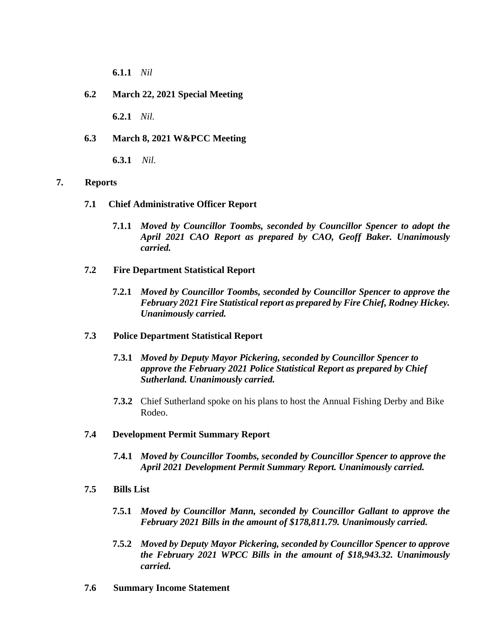**6.1.1** *Nil*

# **6.2 March 22, 2021 Special Meeting**

**6.2.1** *Nil.*

## **6.3 March 8, 2021 W&PCC Meeting**

**6.3.1** *Nil.*

### **7. Reports**

### **7.1 Chief Administrative Officer Report**

- **7.1.1** *Moved by Councillor Toombs, seconded by Councillor Spencer to adopt the April 2021 CAO Report as prepared by CAO, Geoff Baker. Unanimously carried.*
- **7.2 Fire Department Statistical Report**
	- **7.2.1** *Moved by Councillor Toombs, seconded by Councillor Spencer to approve the February 2021 Fire Statistical report as prepared by Fire Chief, Rodney Hickey. Unanimously carried.*

### **7.3 Police Department Statistical Report**

- **7.3.1** *Moved by Deputy Mayor Pickering, seconded by Councillor Spencer to approve the February 2021 Police Statistical Report as prepared by Chief Sutherland. Unanimously carried.*
- **7.3.2** Chief Sutherland spoke on his plans to host the Annual Fishing Derby and Bike Rodeo.

## **7.4 Development Permit Summary Report**

- **7.4.1** *Moved by Councillor Toombs, seconded by Councillor Spencer to approve the April 2021 Development Permit Summary Report. Unanimously carried.*
- **7.5 Bills List** 
	- **7.5.1** *Moved by Councillor Mann, seconded by Councillor Gallant to approve the February 2021 Bills in the amount of \$178,811.79. Unanimously carried.*
	- **7.5.2** *Moved by Deputy Mayor Pickering, seconded by Councillor Spencer to approve the February 2021 WPCC Bills in the amount of \$18,943.32. Unanimously carried.*
- **7.6 Summary Income Statement**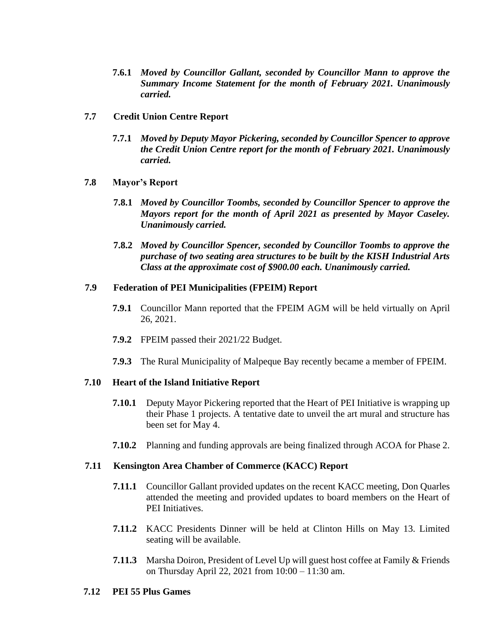- **7.6.1** *Moved by Councillor Gallant, seconded by Councillor Mann to approve the Summary Income Statement for the month of February 2021. Unanimously carried.*
- **7.7 Credit Union Centre Report**
	- **7.7.1** *Moved by Deputy Mayor Pickering, seconded by Councillor Spencer to approve the Credit Union Centre report for the month of February 2021. Unanimously carried.*
- **7.8 Mayor's Report**
	- **7.8.1** *Moved by Councillor Toombs, seconded by Councillor Spencer to approve the Mayors report for the month of April 2021 as presented by Mayor Caseley. Unanimously carried.*
	- **7.8.2** *Moved by Councillor Spencer, seconded by Councillor Toombs to approve the purchase of two seating area structures to be built by the KISH Industrial Arts Class at the approximate cost of \$900.00 each. Unanimously carried.*

### **7.9 Federation of PEI Municipalities (FPEIM) Report**

- **7.9.1** Councillor Mann reported that the FPEIM AGM will be held virtually on April 26, 2021.
- **7.9.2** FPEIM passed their 2021/22 Budget.
- **7.9.3** The Rural Municipality of Malpeque Bay recently became a member of FPEIM.

### **7.10 Heart of the Island Initiative Report**

- **7.10.1** Deputy Mayor Pickering reported that the Heart of PEI Initiative is wrapping up their Phase 1 projects. A tentative date to unveil the art mural and structure has been set for May 4.
- **7.10.2** Planning and funding approvals are being finalized through ACOA for Phase 2.

#### **7.11 Kensington Area Chamber of Commerce (KACC) Report**

- **7.11.1** Councillor Gallant provided updates on the recent KACC meeting, Don Quarles attended the meeting and provided updates to board members on the Heart of PEI Initiatives.
- **7.11.2** KACC Presidents Dinner will be held at Clinton Hills on May 13. Limited seating will be available.
- **7.11.3** Marsha Doiron, President of Level Up will guest host coffee at Family & Friends on Thursday April 22, 2021 from 10:00 – 11:30 am.

#### **7.12 PEI 55 Plus Games**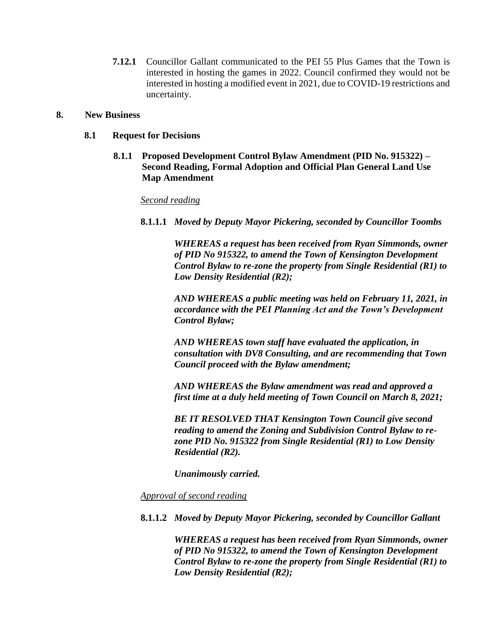**7.12.1** Councillor Gallant communicated to the PEI 55 Plus Games that the Town is interested in hosting the games in 2022. Council confirmed they would not be interested in hosting a modified event in 2021, due to COVID-19 restrictions and uncertainty.

### **8. New Business**

- **8.1 Request for Decisions**
	- **8.1.1 Proposed Development Control Bylaw Amendment (PID No. 915322) – Second Reading, Formal Adoption and Official Plan General Land Use Map Amendment**

### *Second reading*

**8.1.1.1** *Moved by Deputy Mayor Pickering, seconded by Councillor Toombs*

*WHEREAS a request has been received from Ryan Simmonds, owner of PID No 915322, to amend the Town of Kensington Development Control Bylaw to re-zone the property from Single Residential (R1) to Low Density Residential (R2);*

*AND WHEREAS a public meeting was held on February 11, 2021, in accordance with the PEI Planning Act and the Town's Development Control Bylaw;*

*AND WHEREAS town staff have evaluated the application, in consultation with DV8 Consulting, and are recommending that Town Council proceed with the Bylaw amendment;*

*AND WHEREAS the Bylaw amendment was read and approved a first time at a duly held meeting of Town Council on March 8, 2021;*

*BE IT RESOLVED THAT Kensington Town Council give second reading to amend the Zoning and Subdivision Control Bylaw to rezone PID No. 915322 from Single Residential (R1) to Low Density Residential (R2).*

*Unanimously carried.* 

*Approval of second reading*

**8.1.1.2** *Moved by Deputy Mayor Pickering, seconded by Councillor Gallant*

*WHEREAS a request has been received from Ryan Simmonds, owner of PID No 915322, to amend the Town of Kensington Development Control Bylaw to re-zone the property from Single Residential (R1) to Low Density Residential (R2);*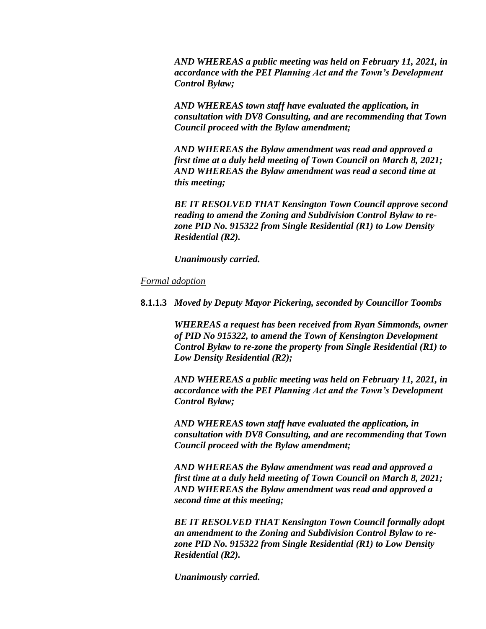*AND WHEREAS a public meeting was held on February 11, 2021, in accordance with the PEI Planning Act and the Town's Development Control Bylaw;*

*AND WHEREAS town staff have evaluated the application, in consultation with DV8 Consulting, and are recommending that Town Council proceed with the Bylaw amendment;*

*AND WHEREAS the Bylaw amendment was read and approved a first time at a duly held meeting of Town Council on March 8, 2021; AND WHEREAS the Bylaw amendment was read a second time at this meeting;*

*BE IT RESOLVED THAT Kensington Town Council approve second reading to amend the Zoning and Subdivision Control Bylaw to rezone PID No. 915322 from Single Residential (R1) to Low Density Residential (R2).*

*Unanimously carried.* 

### *Formal adoption*

**8.1.1.3** *Moved by Deputy Mayor Pickering, seconded by Councillor Toombs*

*WHEREAS a request has been received from Ryan Simmonds, owner of PID No 915322, to amend the Town of Kensington Development Control Bylaw to re-zone the property from Single Residential (R1) to Low Density Residential (R2);*

*AND WHEREAS a public meeting was held on February 11, 2021, in accordance with the PEI Planning Act and the Town's Development Control Bylaw;*

*AND WHEREAS town staff have evaluated the application, in consultation with DV8 Consulting, and are recommending that Town Council proceed with the Bylaw amendment;*

*AND WHEREAS the Bylaw amendment was read and approved a first time at a duly held meeting of Town Council on March 8, 2021; AND WHEREAS the Bylaw amendment was read and approved a second time at this meeting;*

*BE IT RESOLVED THAT Kensington Town Council formally adopt an amendment to the Zoning and Subdivision Control Bylaw to rezone PID No. 915322 from Single Residential (R1) to Low Density Residential (R2).*

*Unanimously carried.*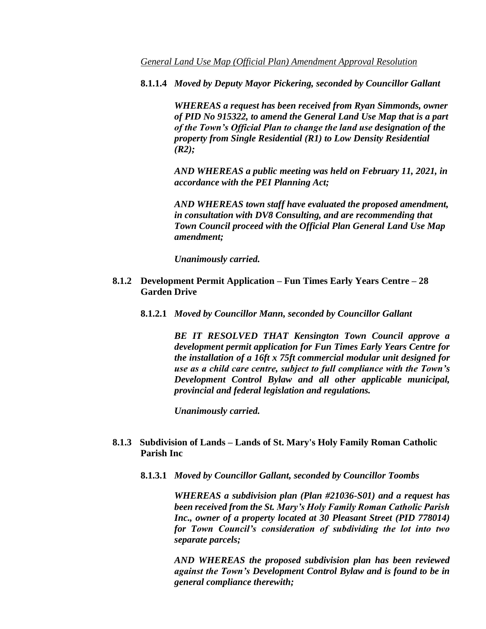**8.1.1.4** *Moved by Deputy Mayor Pickering, seconded by Councillor Gallant*

*WHEREAS a request has been received from Ryan Simmonds, owner of PID No 915322, to amend the General Land Use Map that is a part of the Town's Official Plan to change the land use designation of the property from Single Residential (R1) to Low Density Residential (R2);*

*AND WHEREAS a public meeting was held on February 11, 2021, in accordance with the PEI Planning Act;*

*AND WHEREAS town staff have evaluated the proposed amendment, in consultation with DV8 Consulting, and are recommending that Town Council proceed with the Official Plan General Land Use Map amendment;*

*Unanimously carried.* 

- **8.1.2 Development Permit Application – Fun Times Early Years Centre – 28 Garden Drive**
	- **8.1.2.1** *Moved by Councillor Mann, seconded by Councillor Gallant*

*BE IT RESOLVED THAT Kensington Town Council approve a development permit application for Fun Times Early Years Centre for the installation of a 16ft x 75ft commercial modular unit designed for use as a child care centre, subject to full compliance with the Town's Development Control Bylaw and all other applicable municipal, provincial and federal legislation and regulations.*

*Unanimously carried.*

### **8.1.3 Subdivision of Lands – Lands of St. Mary's Holy Family Roman Catholic Parish Inc**

**8.1.3.1** *Moved by Councillor Gallant, seconded by Councillor Toombs*

*WHEREAS a subdivision plan (Plan #21036-S01) and a request has been received from the St. Mary's Holy Family Roman Catholic Parish Inc., owner of a property located at 30 Pleasant Street (PID 778014) for Town Council's consideration of subdividing the lot into two separate parcels;*

*AND WHEREAS the proposed subdivision plan has been reviewed against the Town's Development Control Bylaw and is found to be in general compliance therewith;*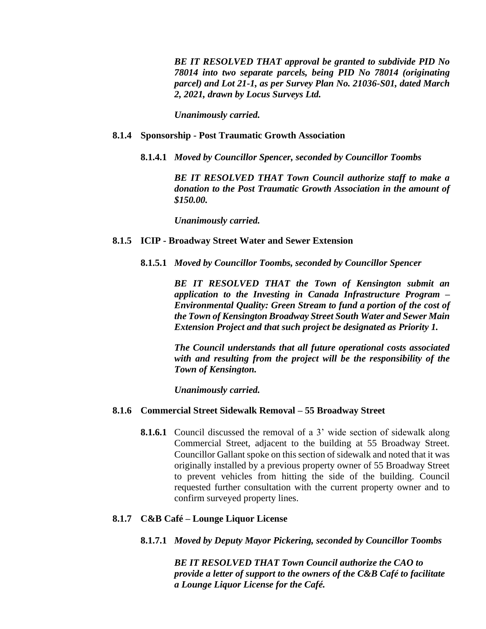*BE IT RESOLVED THAT approval be granted to subdivide PID No 78014 into two separate parcels, being PID No 78014 (originating parcel) and Lot 21-1, as per Survey Plan No. 21036-S01, dated March 2, 2021, drawn by Locus Surveys Ltd.* 

*Unanimously carried.*

#### **8.1.4 Sponsorship - Post Traumatic Growth Association**

**8.1.4.1** *Moved by Councillor Spencer, seconded by Councillor Toombs*

*BE IT RESOLVED THAT Town Council authorize staff to make a donation to the Post Traumatic Growth Association in the amount of \$150.00.* 

*Unanimously carried.*

#### **8.1.5 ICIP - Broadway Street Water and Sewer Extension**

**8.1.5.1** *Moved by Councillor Toombs, seconded by Councillor Spencer*

*BE IT RESOLVED THAT the Town of Kensington submit an application to the Investing in Canada Infrastructure Program – Environmental Quality: Green Stream to fund a portion of the cost of the Town of Kensington Broadway Street South Water and Sewer Main Extension Project and that such project be designated as Priority 1.*

*The Council understands that all future operational costs associated with and resulting from the project will be the responsibility of the Town of Kensington.* 

*Unanimously carried.*

#### **8.1.6 Commercial Street Sidewalk Removal – 55 Broadway Street**

**8.1.6.1** Council discussed the removal of a 3' wide section of sidewalk along Commercial Street, adjacent to the building at 55 Broadway Street. Councillor Gallant spoke on this section of sidewalk and noted that it was originally installed by a previous property owner of 55 Broadway Street to prevent vehicles from hitting the side of the building. Council requested further consultation with the current property owner and to confirm surveyed property lines.

#### **8.1.7 C&B Café – Lounge Liquor License**

**8.1.7.1** *Moved by Deputy Mayor Pickering, seconded by Councillor Toombs*

*BE IT RESOLVED THAT Town Council authorize the CAO to provide a letter of support to the owners of the C&B Café to facilitate a Lounge Liquor License for the Café.*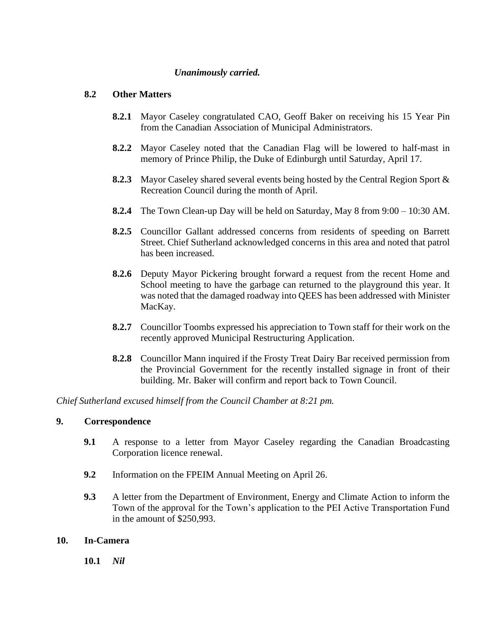# *Unanimously carried.*

## **8.2 Other Matters**

- **8.2.1** Mayor Caseley congratulated CAO, Geoff Baker on receiving his 15 Year Pin from the Canadian Association of Municipal Administrators.
- **8.2.2** Mayor Caseley noted that the Canadian Flag will be lowered to half-mast in memory of Prince Philip, the Duke of Edinburgh until Saturday, April 17.
- **8.2.3** Mayor Caseley shared several events being hosted by the Central Region Sport & Recreation Council during the month of April.
- **8.2.4** The Town Clean-up Day will be held on Saturday, May 8 from 9:00 10:30 AM.
- **8.2.5** Councillor Gallant addressed concerns from residents of speeding on Barrett Street. Chief Sutherland acknowledged concerns in this area and noted that patrol has been increased.
- **8.2.6** Deputy Mayor Pickering brought forward a request from the recent Home and School meeting to have the garbage can returned to the playground this year. It was noted that the damaged roadway into QEES has been addressed with Minister MacKay.
- **8.2.7** Councillor Toombs expressed his appreciation to Town staff for their work on the recently approved Municipal Restructuring Application.
- **8.2.8** Councillor Mann inquired if the Frosty Treat Dairy Bar received permission from the Provincial Government for the recently installed signage in front of their building. Mr. Baker will confirm and report back to Town Council.

*Chief Sutherland excused himself from the Council Chamber at 8:21 pm.*

## **9. Correspondence**

- **9.1** A response to a letter from Mayor Caseley regarding the Canadian Broadcasting Corporation licence renewal.
- **9.2** Information on the FPEIM Annual Meeting on April 26.
- **9.3** A letter from the Department of Environment, Energy and Climate Action to inform the Town of the approval for the Town's application to the PEI Active Transportation Fund in the amount of \$250,993.

### **10. In-Camera**

**10.1** *Nil*